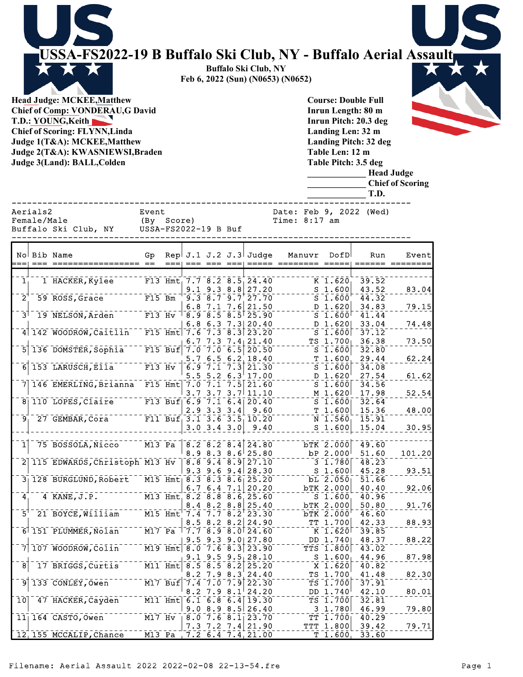**USSA-FS2022-19 B Buffalo Ski Club, NY - Buffalo Aerial Assault** Х **Buffalo Ski Club, NY Feb 6, 2022 (Sun) (N0653) (N0652) Head Judge: MCKEE,Matthew Course: Double Full**

**Chief of Comp: VONDERAU,G David T.D.: YOUNG,Keith Chief of Scoring: FLYNN,Linda Judge 1(T&A): MCKEE,Matthew Judge 2(T&A): KWASNIEWSI,Braden Judge 3(Land): BALL,Colden** 

**Inrun Length: 80 m Inrun Pitch: 20.3 deg Landing Len: 32 m Landing Pitch: 32 deg Table Len: 12 m Table Pitch: 3.5 deg**

**\_\_\_\_\_\_\_\_\_\_\_\_\_ Head Judge**

**\_\_\_\_\_\_\_\_\_\_\_\_\_ Chief of Scoring**

|                                                 |                                                |                                          | <b>LICAU JUUL</b><br><b>Chief of Sco</b><br>T.D. |
|-------------------------------------------------|------------------------------------------------|------------------------------------------|--------------------------------------------------|
| Aerials2<br>Female/Male<br>Buffalo Ski Club, NY | Event<br>Score)<br>(By<br>USSA-FS2022-19 B Buf | Date: Feb 9, 2022 (Wed)<br>Time: 8:17 am |                                                  |
| No  Bib Name                                    | Rep $J.1 J.2 J.3$<br>Gp.                       | Manuvr<br>DofD                           | F<br>Run                                         |

|                     | No Bib Name                                      | Gр                               |                      |                                                                         |                                       |                  | Rep J.1 J.2 J.3 Judge                                                 | Manuvr | DofD                                                 | Run            | Event  |
|---------------------|--------------------------------------------------|----------------------------------|----------------------|-------------------------------------------------------------------------|---------------------------------------|------------------|-----------------------------------------------------------------------|--------|------------------------------------------------------|----------------|--------|
|                     |                                                  |                                  |                      |                                                                         |                                       |                  |                                                                       |        |                                                      |                |        |
| 1 <sub>1</sub>      | 1 HACKER, Kylee                                  |                                  |                      |                                                                         |                                       |                  | F13 Hmt, 7.7 8.2 8.5, 24.40                                           |        | K 1.620                                              | 39.52          |        |
|                     |                                                  |                                  |                      |                                                                         | $9.1$ $9.3$ $8.8$                     |                  | 27.20                                                                 |        | S <sub>1.600</sub>                                   | 43.52          | 83.04  |
| $\bar{2}^{\dagger}$ | 59 ROSS, Grace                                   | $F15$ Bm                         |                      |                                                                         | 9.377777777                           |                  | 27.70                                                                 |        | $\overline{\text{s}}$ $\overline{\text{1.600}}$      | 44.32          |        |
|                     |                                                  |                                  |                      |                                                                         | $6.8$ 7.1 7.6                         |                  | 21.50                                                                 |        | D 1.620                                              | 34.83          | 79.15  |
| $\bar{3}^{\dagger}$ | 19 NELSON, Arden                                 | $F13$ Hv                         |                      |                                                                         |                                       |                  | $\overline{8.9}$ $\overline{8.5}$ $\overline{8.5}$ $\overline{25.90}$ |        | $S^-\overline{1}.\,\bar{6}\,\bar{0}\,\bar{0}$        | 41.44          |        |
|                     |                                                  |                                  |                      | 6.8                                                                     | $6.3$ 7.3                             |                  | 20.40                                                                 |        | $D_1.620$                                            | 33.04          | 74.48  |
|                     | 4 142 WOODROW, Caitlin F15 Hmt 7.6               |                                  |                      |                                                                         |                                       |                  | $7.3$ 8.3 23.20                                                       |        | $S_1.600$                                            | 37.12          |        |
|                     |                                                  |                                  |                      |                                                                         |                                       |                  | 6.7 7.3 7.4 $21.40$                                                   |        | $TS$ 1.700                                           | 36.38          | 73.50  |
|                     | 136 DOMSTER, Sophia                              |                                  |                      | F15 Buf 7.0 7.0 6.5                                                     |                                       |                  | 20.50                                                                 |        | S <sub>1.600</sub>                                   | 32.80          |        |
|                     |                                                  |                                  |                      | 5.7                                                                     | 6.5                                   |                  | 6.2, 18.40                                                            | т      | 1.600                                                | 29.44          | 62.24  |
|                     | $6$ 153 LARUSCH, Ella <sup>--</sup>              | $F13$ Hv                         |                      |                                                                         | $\overline{6.9}$ 7.1 7.3              |                  | 21.30                                                                 |        | S <sub>1.600</sub>                                   | 34.08          |        |
|                     |                                                  |                                  |                      | 5.5                                                                     | $5.2 \, 6.3$                          |                  | 17.00                                                                 |        | D 1.620                                              | 27.54          | 61.62  |
|                     | 146 EMERLING, Brianna                            |                                  |                      | F15 Hmt $7.07.17.5$                                                     |                                       |                  | 21.60                                                                 |        | S <sub>1.600</sub>                                   | 34.56          |        |
|                     |                                                  |                                  |                      |                                                                         |                                       |                  | $3.7$ $3.7$ $3.7$ $11.10$                                             |        | M 1.620                                              | 17.98          | 52.54  |
|                     | 8 110 LOPES, Claire F13 Buf 6.9 7.1 6.4          |                                  |                      |                                                                         |                                       |                  | 20.40                                                                 |        | S <sub>1.600</sub>                                   | 32.64          |        |
|                     |                                                  |                                  |                      | 2.9                                                                     | 3.33.4                                |                  | 9.60                                                                  |        | T1.600                                               | 15.36          | 48.00  |
| 9 <sub>1</sub>      | 27 GEMBAR, Cora                                  |                                  |                      |                                                                         |                                       |                  | F11 Buf $3.1 - 3.6 - 3.5 - 10.20$                                     |        | N 1.560                                              | 15.91          |        |
|                     |                                                  |                                  |                      |                                                                         | $3.0$ $3.4$ $3.0$                     |                  | 9.40                                                                  |        | S <sub>1.600</sub>                                   | 15.04          | 30.95  |
|                     |                                                  |                                  |                      |                                                                         |                                       |                  |                                                                       |        |                                                      |                |        |
| 1 <sup>1</sup>      | 75 BOSSOLA, Nicco                                | $M13$ Pa                         |                      |                                                                         |                                       |                  | 8.2 8.2 8.4 24.80                                                     |        | bTK 2.000                                            | 49.60          |        |
|                     |                                                  |                                  |                      |                                                                         | 8.98.38.6                             |                  | 25.80                                                                 |        | bP 2.000                                             | 51.60          | 101.20 |
|                     | 2 115 EDWARDS, Christoph M13 Hv                  |                                  |                      |                                                                         |                                       |                  | $8.8$ 9.4 8.9 27.10                                                   |        | $3 \; 1.780$                                         | 48.23          |        |
|                     |                                                  |                                  |                      | 9.3                                                                     | 9.69.4                                |                  | 28.30                                                                 |        | $S$ 1.600                                            | 45.28          | 93.51  |
|                     | 3 128 BURGLUND, Robert M15 Hmt 8.3 8.3 8.6 25.20 |                                  |                      |                                                                         |                                       |                  |                                                                       |        | bL 2.050                                             | 51.66          |        |
| $\overline{4}$      | $4$ KANE, $J.P.$                                 |                                  |                      | M13 Hmt $8.2\overline{8.8\overline{8.6}}$                               | 6.76.47.1                             |                  | 20.20<br>25.60                                                        |        | bTK 2.000<br>$S_1.600$                               | 40.40<br>40.96 | 92.06  |
|                     |                                                  |                                  |                      |                                                                         |                                       |                  |                                                                       |        |                                                      |                |        |
| 5'                  | 21 BOYCE, William                                |                                  |                      |                                                                         | 8.4 8.2 8.8                           |                  | 25.40<br>M15 Hmt $7.4 \overline{7.7} \overline{8.2} \overline{23.30}$ |        | bTK 2.000<br><b>bTK 2.000</b>                        | 50.80<br>46.60 | 91.76  |
|                     |                                                  |                                  |                      |                                                                         | 8.5 8.2 8.2                           |                  | 24.90                                                                 |        | TT 1.700                                             | 42.33          | 88.93  |
|                     | 6 151 PLUMMER, Nolan                             | $\overline{M17}$ $\overline{Pa}$ |                      |                                                                         |                                       |                  | 17.78.98.0124.60                                                      |        | $K$ 1.620                                            | 39.85          |        |
|                     |                                                  |                                  |                      |                                                                         |                                       |                  | $9.5$ $9.3$ $9.0$ $27.80$                                             |        | DD 1.740                                             | 48.37          | 88.22  |
|                     | 7 107 WOODROW, Colin                             |                                  |                      |                                                                         |                                       |                  | M19 Hmt 8.0 7.6 8.3 23.90                                             |        | $TTS$ $1.800$                                        | 43.02          |        |
|                     |                                                  |                                  |                      | 9.1                                                                     |                                       |                  | $9.5$ $9.5$ 28.10                                                     |        | S <sub>1.600</sub>                                   | 44.96          | 87.98  |
| $\overline{8}$      | 17 BRIGGS, Curtis                                |                                  |                      | $\overline{M11}$ Hmt $\overline{8.5}$ $\overline{8.5}$ $\overline{8.2}$ |                                       |                  | 25.20                                                                 |        | X 1.620                                              | 40.82          |        |
|                     |                                                  |                                  |                      |                                                                         | 8.2 7.9 8.3                           |                  | 24.40                                                                 |        | TS 1.700                                             | 41.48          | 82.30  |
|                     | 9 133 CONLEY, Owen                               |                                  | $\overline{M17}$ Buf |                                                                         | $7.4$ $7.0$ $7.9$                     |                  | 22.30                                                                 |        | TS 1.700                                             | 37.91          |        |
|                     |                                                  |                                  |                      | 8.2                                                                     | 7.9                                   | 8.1 <sup>1</sup> | 24.20                                                                 |        | DD 1.740                                             | 42.10          | 80.01  |
| 10                  | 47 HACKER, Cayden <sup>-----</sup>               |                                  |                      | $\overline{M11}$ Hmt 6.1 6.8 6.4                                        |                                       |                  | 19.30                                                                 |        | TS 1.700                                             | 32.81          |        |
|                     |                                                  |                                  |                      | 9.0                                                                     | 8.98.5                                |                  | 26.40                                                                 |        | 3 1.780                                              | 46.99          | 79.80  |
|                     | $11 164$ CASTO, Owen                             | $M17$ Hv                         |                      |                                                                         | $\overline{8.0}$ 7.6 $\overline{8.1}$ |                  | 23.70                                                                 |        | $\overline{\texttt{TT}}$ $\overline{\texttt{1.700}}$ | 40.29          |        |
|                     |                                                  |                                  |                      |                                                                         |                                       |                  | $7.3$ $7.2$ $7.4$ 21.90                                               |        | TTT 1.800                                            | 39.42          | 79.71  |
|                     | 12, 155 MCCALIP, Chance                          |                                  |                      |                                                                         |                                       |                  | M13 Pa 7.2 6.4 7.4 21.00                                              |        | T <sub>1.600</sub>                                   | 33.60          |        |

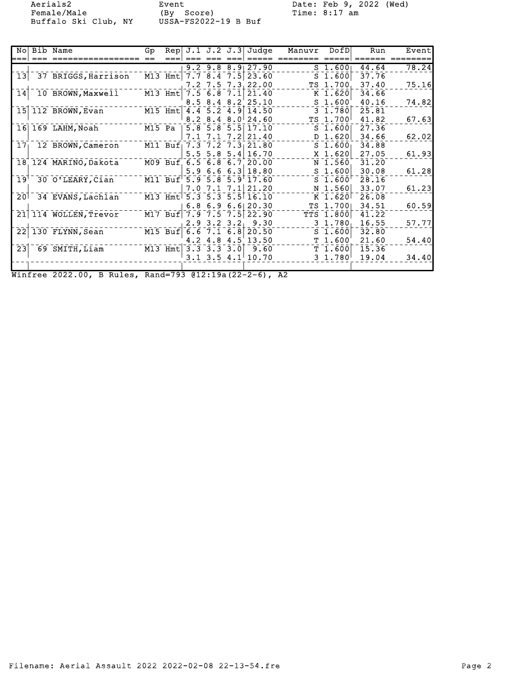Female/Male (By Score) Time: 8:17 am Buffalo Ski Club, NY USSA-FS2022-19 B Buf

Aerials2 Event Date: Feb 9, 2022 (Wed)

|  | No Bib Name                                | Gp. |                         |                   | Rep $J.1 J.2 J.3$ Judge    | Manuvr DofD |                         | Run   | Event |
|--|--------------------------------------------|-----|-------------------------|-------------------|----------------------------|-------------|-------------------------|-------|-------|
|  |                                            |     |                         |                   |                            |             |                         |       |       |
|  |                                            |     |                         |                   | $9.2$ $9.8$ $8.9$ 27.90    |             | $S$ 1.600               | 44.64 | 78.24 |
|  | 13 37 BRIGGS, Harrison                     |     |                         |                   | M13 Hmt 7.7 8.4 7.5 23.60  |             | $S$ 1.600               | 37.76 |       |
|  |                                            |     |                         |                   | $7.2$ $7.5$ $7.3$ 22.00    |             | TS 1.700                | 37.40 | 75.16 |
|  | 14 10 BROWN, Maxwell                       |     | $M13$ Hmt $7.5$ 6.8 7.1 |                   | 21.40                      |             | $K$ 1.620               | 34.66 |       |
|  |                                            |     |                         |                   | 8.5 8.4 8.2 25.10          |             | S <sub>1.600'</sub>     | 40.16 | 74.82 |
|  | 15 112 BROWN, Evan                         |     |                         |                   | M15 Hmt 4.4 5.2 4.9 14.50  |             | $3 \; 1.780$            | 25.81 |       |
|  |                                            |     |                         |                   | $8.2$ $8.4$ $8.0$ 24.60    |             | TS 1.700                | 41.82 | 67.63 |
|  | $16$ $169$ LAHM, Noah                      |     |                         |                   | M15 Pa   5.8 5.8 5.5 17.10 |             | $S$ 1.600               | 27.36 |       |
|  |                                            |     |                         | 7.17.1            | $7.2$ 21.40                |             | $D_1.620$               | 34.66 | 62.02 |
|  | 17 12 BROWN, Cameron                       |     |                         |                   | M11 Buf 7.3 7.2 7.3 21.80  |             | $S$ 1.600               | 34.88 |       |
|  |                                            |     |                         |                   | $5.5$ 5.8 5.4 16.70        |             | $X$ 1.620               | 27.05 | 61.93 |
|  | 18 124 MARINO, Dakota                      |     |                         |                   | M09 Buf 6.5 6.8 6.7 20.00  |             | N 1.560                 | 31.20 |       |
|  |                                            |     |                         |                   | $5.9$ 6.6 6.3 18.80        |             | S <sub>1.600</sub>      | 30.08 | 61.28 |
|  | 19 <sup>1-</sup> 30 O'LEARY, Clan          |     |                         |                   | M11 Buf 5.9 5.8 5.9 17.60  |             | $S$ 1.600               | 28.16 |       |
|  |                                            |     |                         | $7.0$ $7.1$ $7.1$ | 21.20                      |             | N 1.560                 | 33.07 | 61.23 |
|  | 20 34 EVANS, Lachlan                       |     |                         |                   | M13 Hmt 5.3 5.3 5.5 16.10  |             | $K$ 1.620               | 26.08 |       |
|  |                                            |     |                         | 6.86.9            | 6.6120.30                  |             | TS 1.700                | 34.51 | 60.59 |
|  | 21 114 WOLLEN, Trevor                      |     |                         |                   | M17 Buf 7.9 7.5 7.5 22.90  |             | <b>TTS 1.800</b>        | 41.22 |       |
|  |                                            |     |                         |                   | $2.9$ 3.2 3.2 9.30         |             | 3 1.780                 | 16.55 | 57.77 |
|  | 22 130 FLYNN, Sean                         |     |                         |                   | M15 Buf 6.6 7.1 6.8 20.50  |             | S <sub>1.600</sub>      | 32.80 |       |
|  |                                            |     |                         |                   | 4.2 4.8 4.5 13.50          |             | T 1.600'                | 21.60 | 54.40 |
|  | 23 69 SMITH, Liam M13 Hmt 3.3 3.3 3.0 9.60 |     |                         |                   |                            |             | T 1.600                 | 15.36 |       |
|  |                                            |     |                         |                   | $3.1$ $3.5$ $4.1$ $10.70$  |             | $3\;\; 1.780^{\dagger}$ | 19.04 | 34.40 |
|  |                                            |     |                         |                   |                            |             |                         |       |       |
|  |                                            |     |                         |                   |                            |             |                         |       |       |

Winfree 2022.00, B Rules, Rand=793 @12:19a(22-2-6), A2